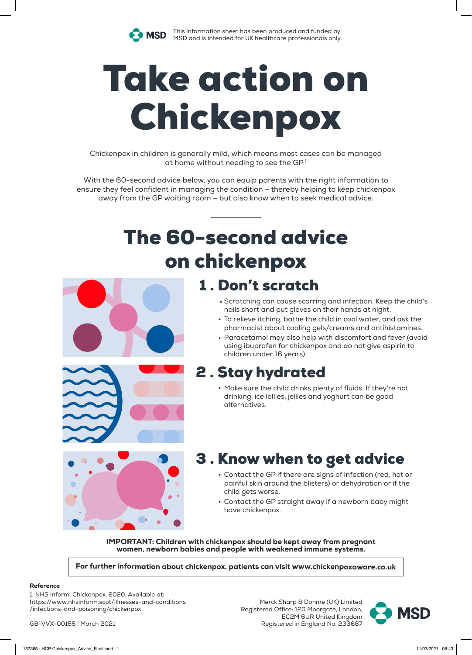

This information sheet has been produced and funded by **MSD** Internation sheet music compressions and the MSD and is intended for UK healthcare professionals only.

# Take action on Chickenpox

Chickenpox in children is generally mild, which means most cases can be managed at home without needing to see the GP.<sup>1</sup>

With the 60-second advice below, you can equip parents with the right information to ensure they feel confident in managing the condition – thereby helping to keep chickenpox away from the GP waiting room – but also know when to seek medical advice.

# The 60-second advice on chickenpox



- Scratching can cause scarring and infection. Keep the child's . nails short and put gloves on their hands at night.
- To relieve itching, bathe the child in cool water, and ask the pharmacist about cooling gels/creams and antihistamines.
- Paracetamol may also help with discomfort and fever (avoid . using ibuprofen for chickenpox and do not give aspirin to children under 16 years).

### 2 . Stay hydrated

• Make sure the child drinks plenty of fluids. If they're not drinking, ice lollies, jellies and yoghurt can be good alternatives.



## 3 . Know when to get advice

- Contact the GP if there are signs of infection (red, hot or painful skin around the blisters) or dehydration or if the child gets worse.
- Contact the GP straight away if a newborn baby might have chickenpox.

IMPORTANT: Children with chickenpox should be kept away from pregnant women, newborn babies and people with weakened immune systems.

For further information about chickenpox, patients can visit www.chickenpoxaware.co.uk

#### Reference

1. NHS Inform. Chickenpox. 2020. Available at: https://www.nhsinform.scot/illnesses-and-conditions /infections-and-poisoning/chickenpox

GB-VVX-00155 | March 2021

Merck Sharp & Dohme (UK) Limited Registered Office: 120 Moorgate, London, EC2M 6UR United Kingdom Registered in England No. 233687